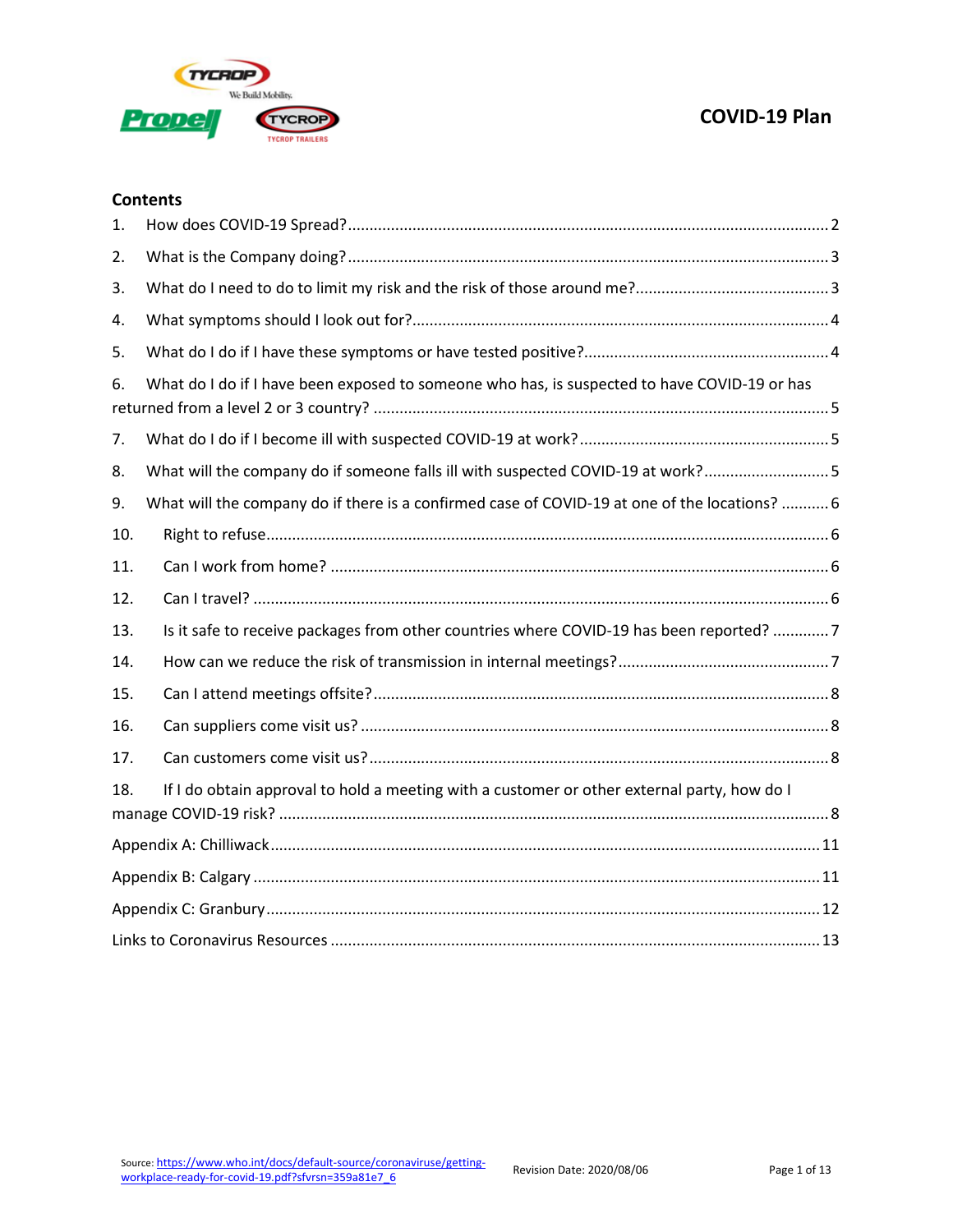

### **Contents**

| 1.  |                                                                                               |
|-----|-----------------------------------------------------------------------------------------------|
| 2.  |                                                                                               |
| 3.  |                                                                                               |
| 4.  |                                                                                               |
| 5.  |                                                                                               |
| 6.  | What do I do if I have been exposed to someone who has, is suspected to have COVID-19 or has  |
| 7.  |                                                                                               |
| 8.  | What will the company do if someone falls ill with suspected COVID-19 at work?5               |
| 9.  | What will the company do if there is a confirmed case of COVID-19 at one of the locations?  6 |
| 10. |                                                                                               |
| 11. |                                                                                               |
| 12. |                                                                                               |
| 13. | Is it safe to receive packages from other countries where COVID-19 has been reported? 7       |
| 14. |                                                                                               |
| 15. |                                                                                               |
| 16. |                                                                                               |
| 17. |                                                                                               |
| 18. | If I do obtain approval to hold a meeting with a customer or other external party, how do I   |
|     |                                                                                               |
|     |                                                                                               |
|     |                                                                                               |
|     |                                                                                               |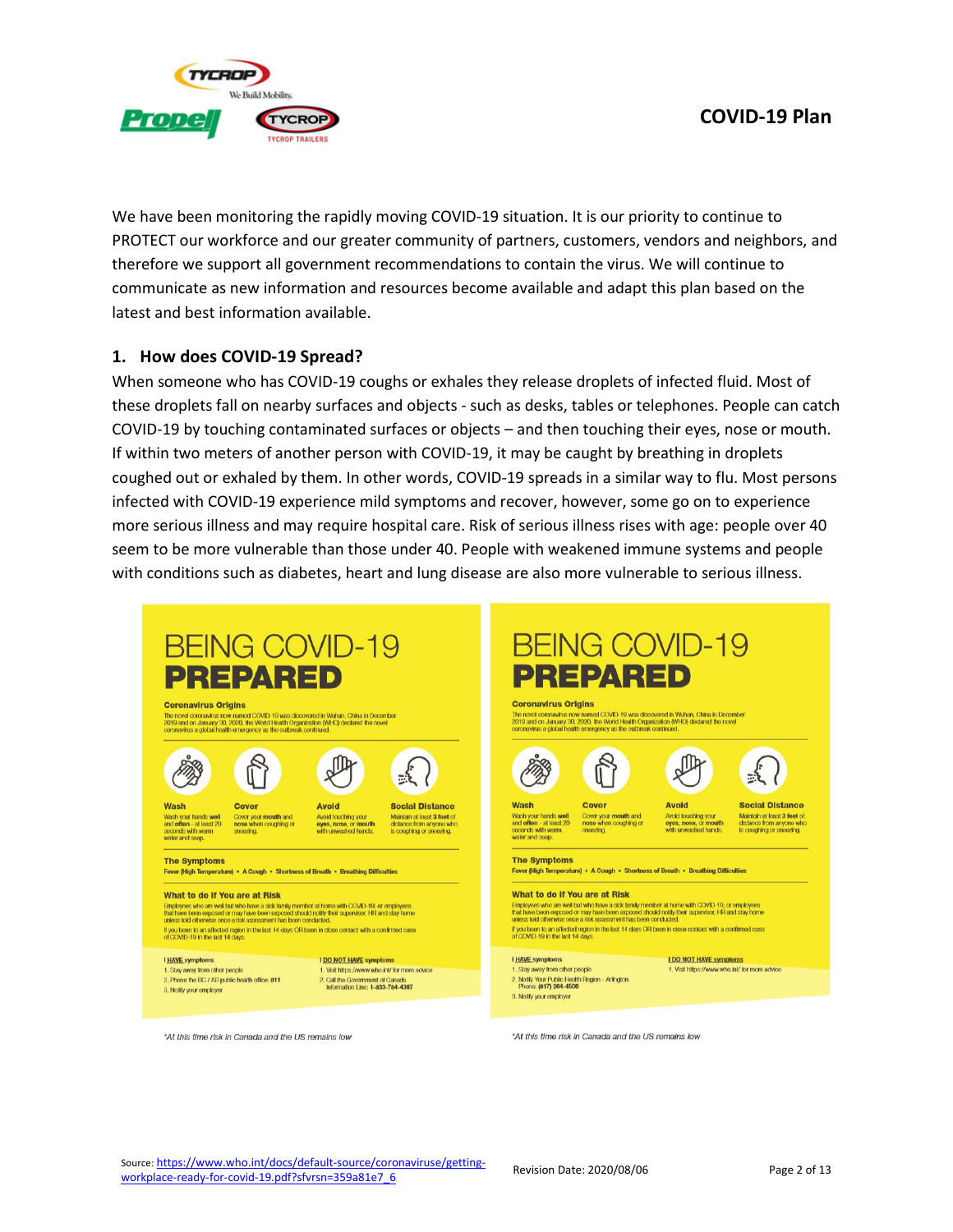

We have been monitoring the rapidly moving COVID-19 situation. It is our priority to continue to PROTECT our workforce and our greater community of partners, customers, vendors and neighbors, and therefore we support all government recommendations to contain the virus. We will continue to communicate as new information and resources become available and adapt this plan based on the latest and best information available.

### <span id="page-1-0"></span>**1. How does COVID-19 Spread?**

When someone who has COVID-19 coughs or exhales they release droplets of infected fluid. Most of these droplets fall on nearby surfaces and objects - such as desks, tables or telephones. People can catch COVID-19 by touching contaminated surfaces or objects – and then touching their eyes, nose or mouth. If within two meters of another person with COVID-19, it may be caught by breathing in droplets coughed out or exhaled by them. In other words, COVID-19 spreads in a similar way to flu. Most persons infected with COVID-19 experience mild symptoms and recover, however, some go on to experience more serious illness and may require hospital care. Risk of serious illness rises with age: people over 40 seem to be more vulnerable than those under 40. People with weakened immune systems and people with conditions such as diabetes, heart and lung disease are also more vulnerable to serious illness.



\*At this time risk in Canada and the US remains low

\*At this time risk in Canada and the US remains low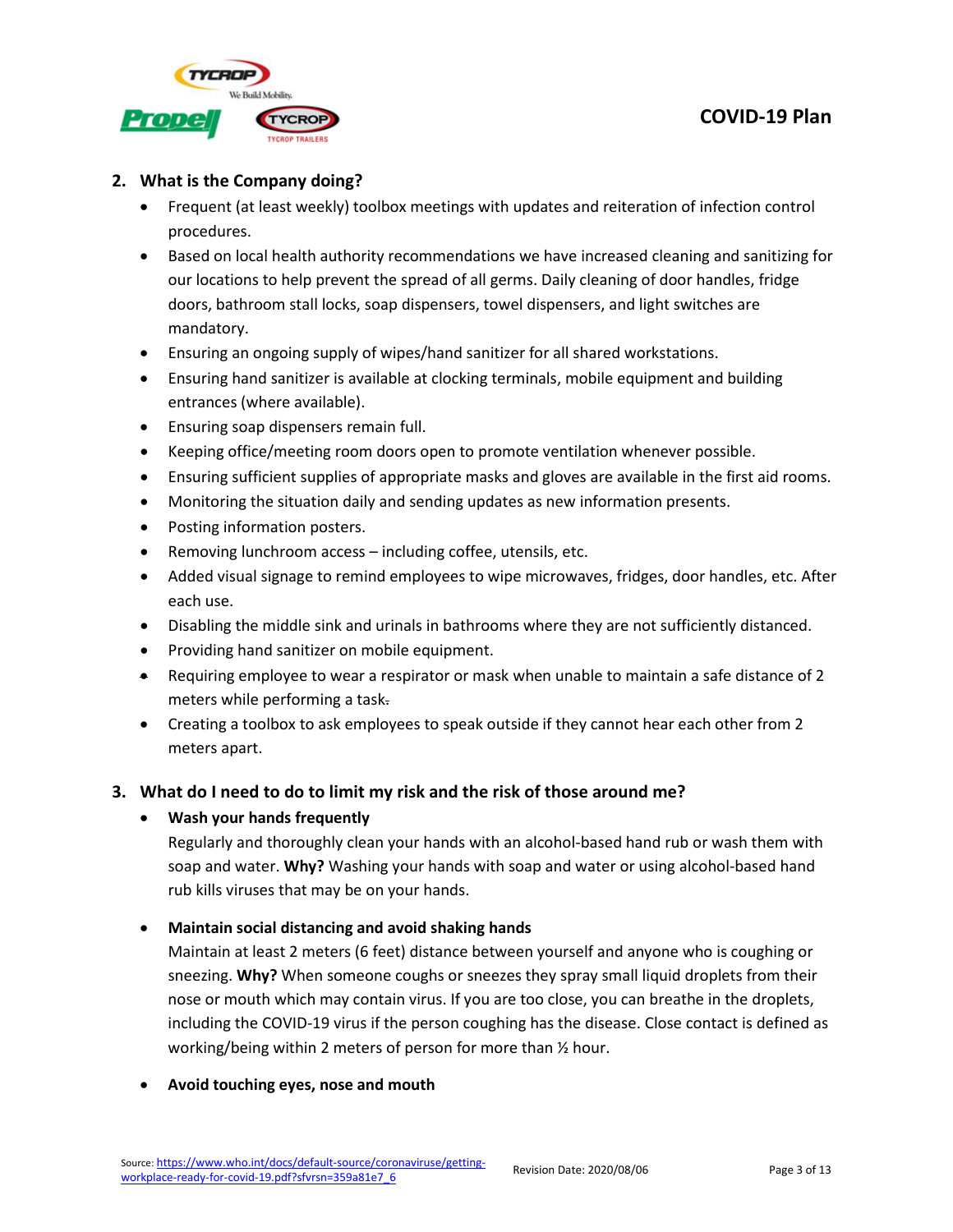

## <span id="page-2-0"></span>**2. What is the Company doing?**

- Frequent (at least weekly) toolbox meetings with updates and reiteration of infection control procedures.
- Based on local health authority recommendations we have increased cleaning and sanitizing for our locations to help prevent the spread of all germs. Daily cleaning of door handles, fridge doors, bathroom stall locks, soap dispensers, towel dispensers, and light switches are mandatory.
- Ensuring an ongoing supply of wipes/hand sanitizer for all shared workstations.
- Ensuring hand sanitizer is available at clocking terminals, mobile equipment and building entrances (where available).
- Ensuring soap dispensers remain full.
- Keeping office/meeting room doors open to promote ventilation whenever possible.
- Ensuring sufficient supplies of appropriate masks and gloves are available in the first aid rooms.
- Monitoring the situation daily and sending updates as new information presents.
- Posting information posters.
- Removing lunchroom access including coffee, utensils, etc.
- Added visual signage to remind employees to wipe microwaves, fridges, door handles, etc. After each use.
- Disabling the middle sink and urinals in bathrooms where they are not sufficiently distanced.
- Providing hand sanitizer on mobile equipment.
- Requiring employee to wear a respirator or mask when unable to maintain a safe distance of 2 meters while performing a task.
- Creating a toolbox to ask employees to speak outside if they cannot hear each other from 2 meters apart.

## <span id="page-2-1"></span>**3. What do I need to do to limit my risk and the risk of those around me?**

## • **Wash your hands frequently**

Regularly and thoroughly clean your hands with an alcohol-based hand rub or wash them with soap and water. **Why?** Washing your hands with soap and water or using alcohol-based hand rub kills viruses that may be on your hands.

## • **Maintain social distancing and avoid shaking hands**

Maintain at least 2 meters (6 feet) distance between yourself and anyone who is coughing or sneezing. **Why?** When someone coughs or sneezes they spray small liquid droplets from their nose or mouth which may contain virus. If you are too close, you can breathe in the droplets, including the COVID-19 virus if the person coughing has the disease. Close contact is defined as working/being within 2 meters of person for more than ½ hour.

## • **Avoid touching eyes, nose and mouth**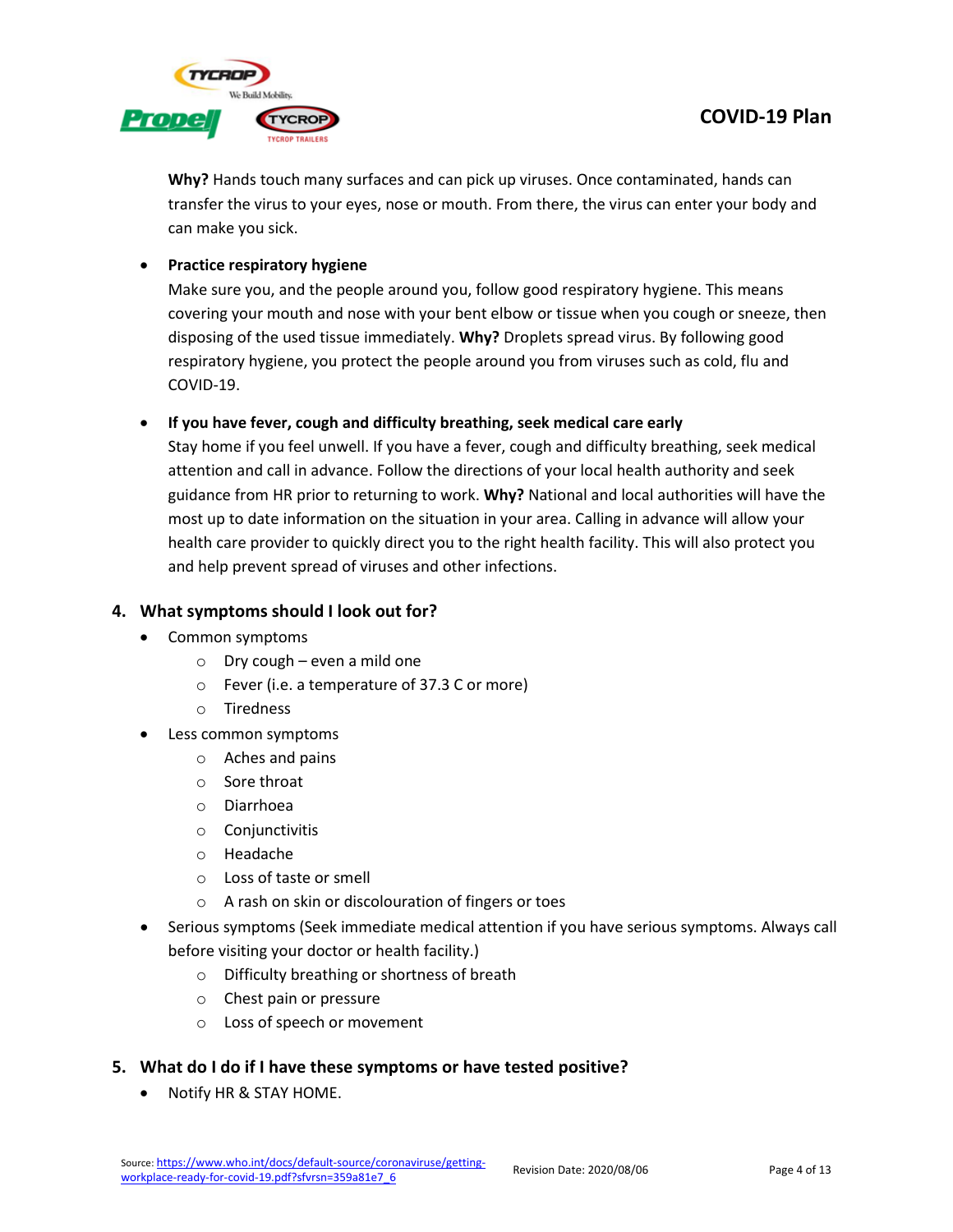

**Why?** Hands touch many surfaces and can pick up viruses. Once contaminated, hands can transfer the virus to your eyes, nose or mouth. From there, the virus can enter your body and can make you sick.

## • **Practice respiratory hygiene**

Make sure you, and the people around you, follow good respiratory hygiene. This means covering your mouth and nose with your bent elbow or tissue when you cough or sneeze, then disposing of the used tissue immediately. **Why?** Droplets spread virus. By following good respiratory hygiene, you protect the people around you from viruses such as cold, flu and COVID-19.

## • **If you have fever, cough and difficulty breathing, seek medical care early**

Stay home if you feel unwell. If you have a fever, cough and difficulty breathing, seek medical attention and call in advance. Follow the directions of your local health authority and seek guidance from HR prior to returning to work. **Why?** National and local authorities will have the most up to date information on the situation in your area. Calling in advance will allow your health care provider to quickly direct you to the right health facility. This will also protect you and help prevent spread of viruses and other infections.

## <span id="page-3-0"></span>**4. What symptoms should I look out for?**

- Common symptoms
	- $\circ$  Dry cough even a mild one
	- o Fever (i.e. a temperature of 37.3 C or more)
	- o Tiredness
- Less common symptoms
	- o Aches and pains
	- o Sore throat
	- o Diarrhoea
	- o Conjunctivitis
	- o Headache
	- o Loss of taste or smell
	- o A rash on skin or discolouration of fingers or toes
- Serious symptoms (Seek immediate medical attention if you have serious symptoms. Always call before visiting your doctor or health facility.)
	- o Difficulty breathing or shortness of breath
	- o Chest pain or pressure
	- o Loss of speech or movement
- <span id="page-3-1"></span>**5. What do I do if I have these symptoms or have tested positive?**
	- Notify HR & STAY HOME.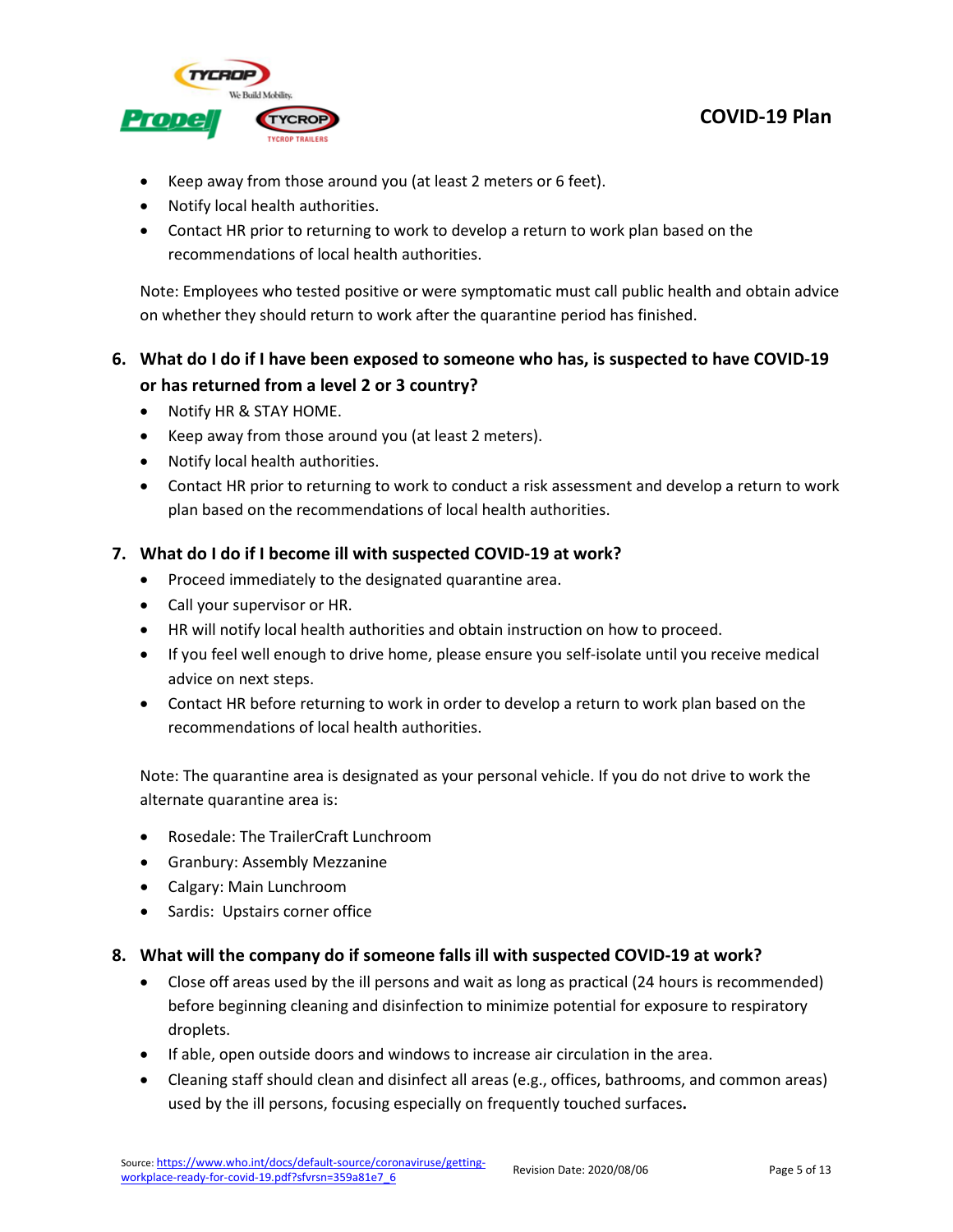

- Keep away from those around you (at least 2 meters or 6 feet).
- Notify local health authorities.
- Contact HR prior to returning to work to develop a return to work plan based on the recommendations of local health authorities.

Note: Employees who tested positive or were symptomatic must call public health and obtain advice on whether they should return to work after the quarantine period has finished.

# <span id="page-4-0"></span>**6. What do I do if I have been exposed to someone who has, is suspected to have COVID-19 or has returned from a level 2 or 3 country?**

- Notify HR & STAY HOME.
- Keep away from those around you (at least 2 meters).
- Notify local health authorities.
- Contact HR prior to returning to work to conduct a risk assessment and develop a return to work plan based on the recommendations of local health authorities.

## <span id="page-4-1"></span>**7. What do I do if I become ill with suspected COVID-19 at work?**

- Proceed immediately to the designated quarantine area.
- Call your supervisor or HR.
- HR will notify local health authorities and obtain instruction on how to proceed.
- If you feel well enough to drive home, please ensure you self-isolate until you receive medical advice on next steps.
- Contact HR before returning to work in order to develop a return to work plan based on the recommendations of local health authorities.

Note: The quarantine area is designated as your personal vehicle. If you do not drive to work the alternate quarantine area is:

- Rosedale: The TrailerCraft Lunchroom
- Granbury: Assembly Mezzanine
- Calgary: Main Lunchroom
- Sardis: Upstairs corner office
- <span id="page-4-2"></span>**8. What will the company do if someone falls ill with suspected COVID-19 at work?**
	- Close off areas used by the ill persons and wait as long as practical (24 hours is recommended) before beginning cleaning and disinfection to minimize potential for exposure to respiratory droplets.
	- If able, open outside doors and windows to increase air circulation in the area.
	- Cleaning staff should clean and disinfect all areas (e.g., offices, bathrooms, and common areas) used by the ill persons, focusing especially on frequently touched surfaces**.**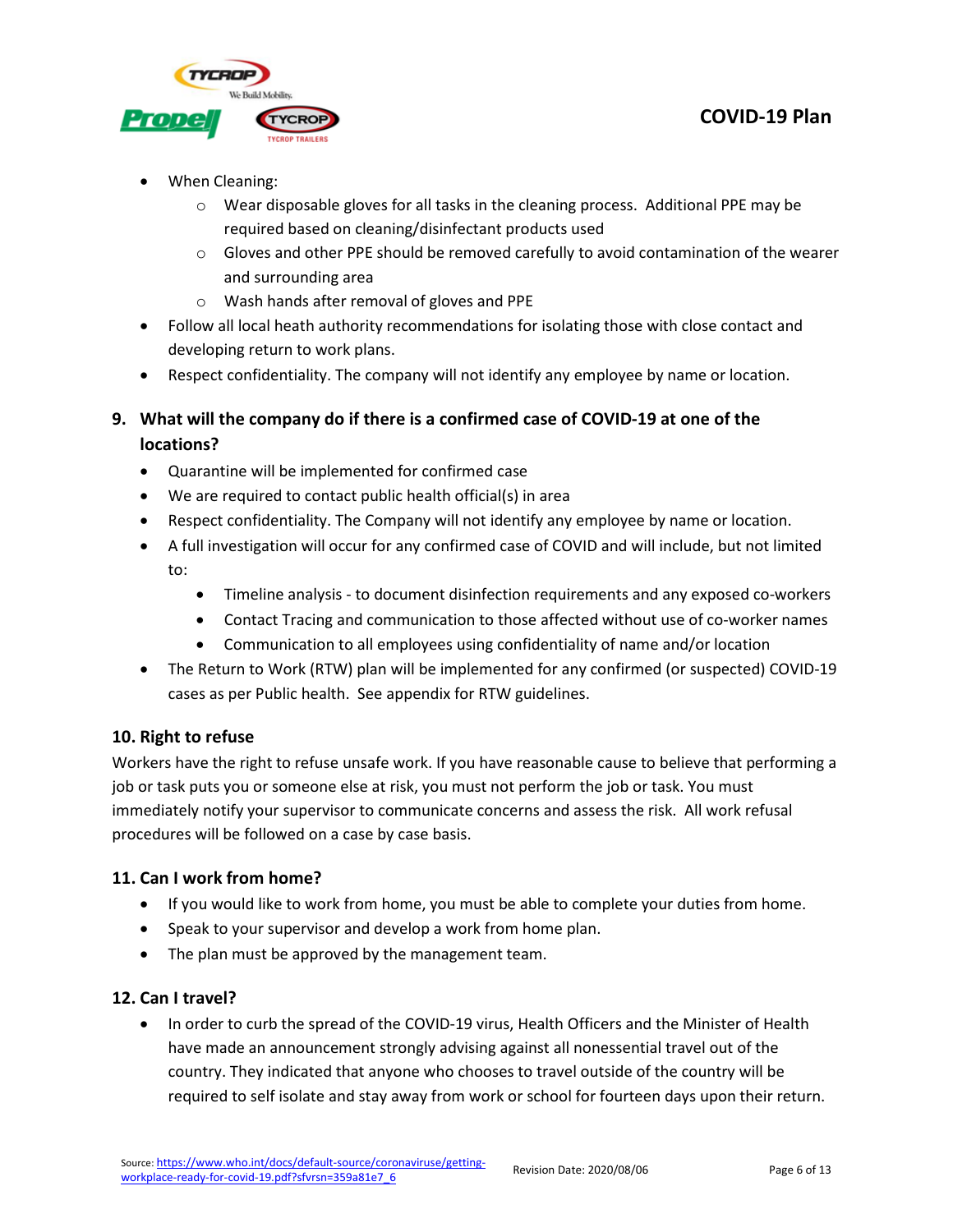

- When Cleaning:
	- $\circ$  Wear disposable gloves for all tasks in the cleaning process. Additional PPE may be required based on cleaning/disinfectant products used
	- $\circ$  Gloves and other PPE should be removed carefully to avoid contamination of the wearer and surrounding area
	- o Wash hands after removal of gloves and PPE
- Follow all local heath authority recommendations for isolating those with close contact and developing return to work plans.
- Respect confidentiality. The company will not identify any employee by name or location.

## <span id="page-5-0"></span>**9. What will the company do if there is a confirmed case of COVID-19 at one of the locations?**

- Quarantine will be implemented for confirmed case
- We are required to contact public health official(s) in area
- Respect confidentiality. The Company will not identify any employee by name or location.
- A full investigation will occur for any confirmed case of COVID and will include, but not limited to:
	- Timeline analysis to document disinfection requirements and any exposed co-workers
	- Contact Tracing and communication to those affected without use of co-worker names
	- Communication to all employees using confidentiality of name and/or location
- The Return to Work (RTW) plan will be implemented for any confirmed (or suspected) COVID-19 cases as per Public health. See appendix for RTW guidelines.

## <span id="page-5-1"></span>**10. Right to refuse**

Workers have the right to refuse unsafe work. If you have reasonable cause to believe that performing a job or task puts you or someone else at risk, you must not perform the job or task. You must immediately notify your supervisor to communicate concerns and assess the risk. All work refusal procedures will be followed on a case by case basis.

## <span id="page-5-2"></span>**11. Can I work from home?**

- If you would like to work from home, you must be able to complete your duties from home.
- Speak to your supervisor and develop a work from home plan.
- The plan must be approved by the management team.

## <span id="page-5-3"></span>**12. Can I travel?**

• In order to curb the spread of the COVID-19 virus, Health Officers and the Minister of Health have made an announcement strongly advising against all nonessential travel out of the country. They indicated that anyone who chooses to travel outside of the country will be required to self isolate and stay away from work or school for fourteen days upon their return.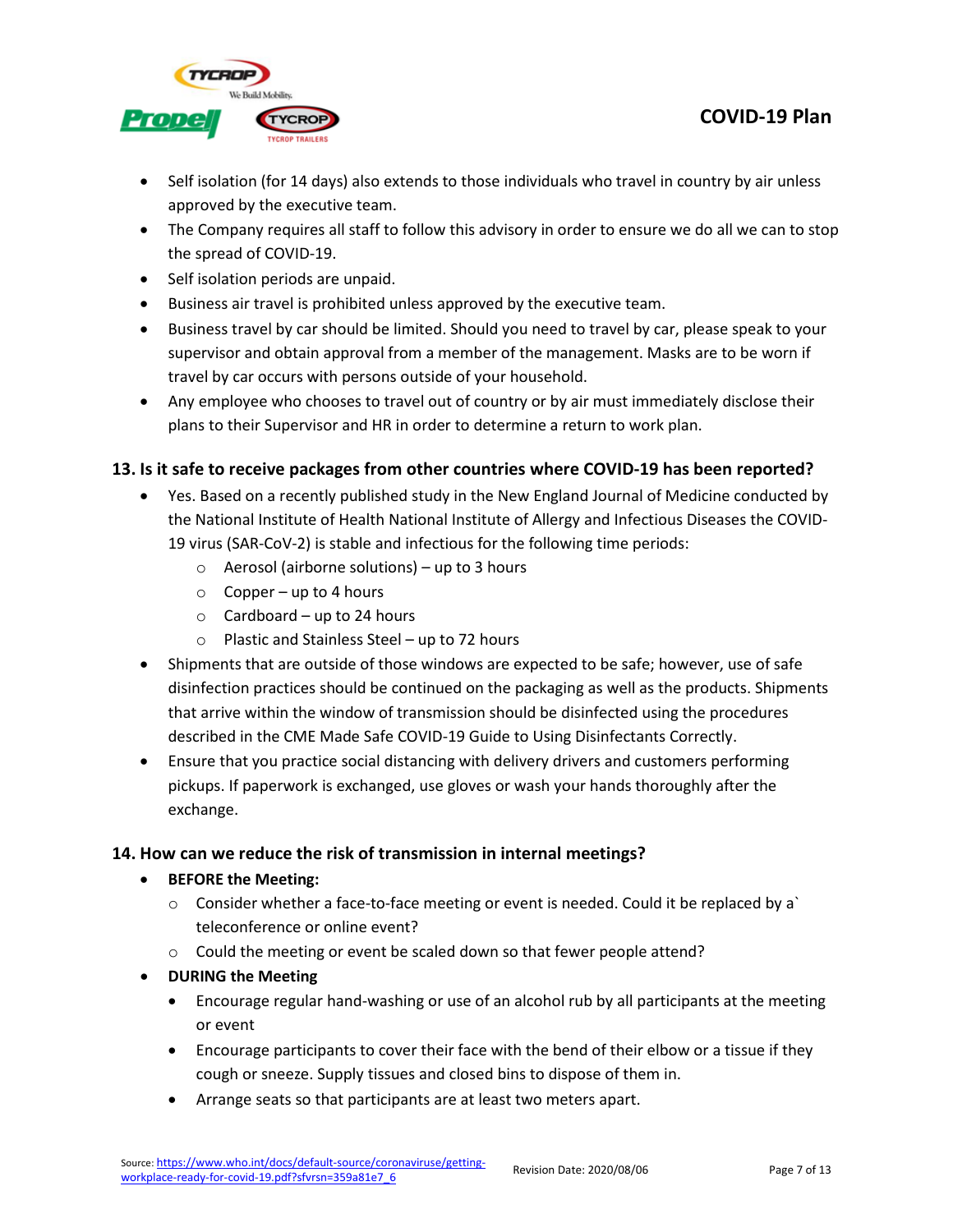

- Self isolation (for 14 days) also extends to those individuals who travel in country by air unless approved by the executive team.
- The Company requires all staff to follow this advisory in order to ensure we do all we can to stop the spread of COVID-19.
- Self isolation periods are unpaid.
- Business air travel is prohibited unless approved by the executive team.
- Business travel by car should be limited. Should you need to travel by car, please speak to your supervisor and obtain approval from a member of the management. Masks are to be worn if travel by car occurs with persons outside of your household.
- Any employee who chooses to travel out of country or by air must immediately disclose their plans to their Supervisor and HR in order to determine a return to work plan.

## <span id="page-6-0"></span>**13. Is it safe to receive packages from other countries where COVID-19 has been reported?**

- Yes. Based on a recently published study in the New England Journal of Medicine conducted by the National Institute of Health National Institute of Allergy and Infectious Diseases the COVID-19 virus (SAR-CoV-2) is stable and infectious for the following time periods:
	- $\circ$  Aerosol (airborne solutions) up to 3 hours
	- $\circ$  Copper up to 4 hours
	- $\circ$  Cardboard up to 24 hours
	- o Plastic and Stainless Steel up to 72 hours
- Shipments that are outside of those windows are expected to be safe; however, use of safe disinfection practices should be continued on the packaging as well as the products. Shipments that arrive within the window of transmission should be disinfected using the procedures described in the CME Made Safe COVID-19 Guide to Using Disinfectants Correctly.
- Ensure that you practice social distancing with delivery drivers and customers performing pickups. If paperwork is exchanged, use gloves or wash your hands thoroughly after the exchange.

## <span id="page-6-1"></span>**14. How can we reduce the risk of transmission in internal meetings?**

- **BEFORE the Meeting:**
	- o Consider whether a face-to-face meeting or event is needed. Could it be replaced by a` teleconference or online event?
	- o Could the meeting or event be scaled down so that fewer people attend?
- **DURING the Meeting**
	- Encourage regular hand-washing or use of an alcohol rub by all participants at the meeting or event
	- Encourage participants to cover their face with the bend of their elbow or a tissue if they cough or sneeze. Supply tissues and closed bins to dispose of them in.
	- Arrange seats so that participants are at least two meters apart.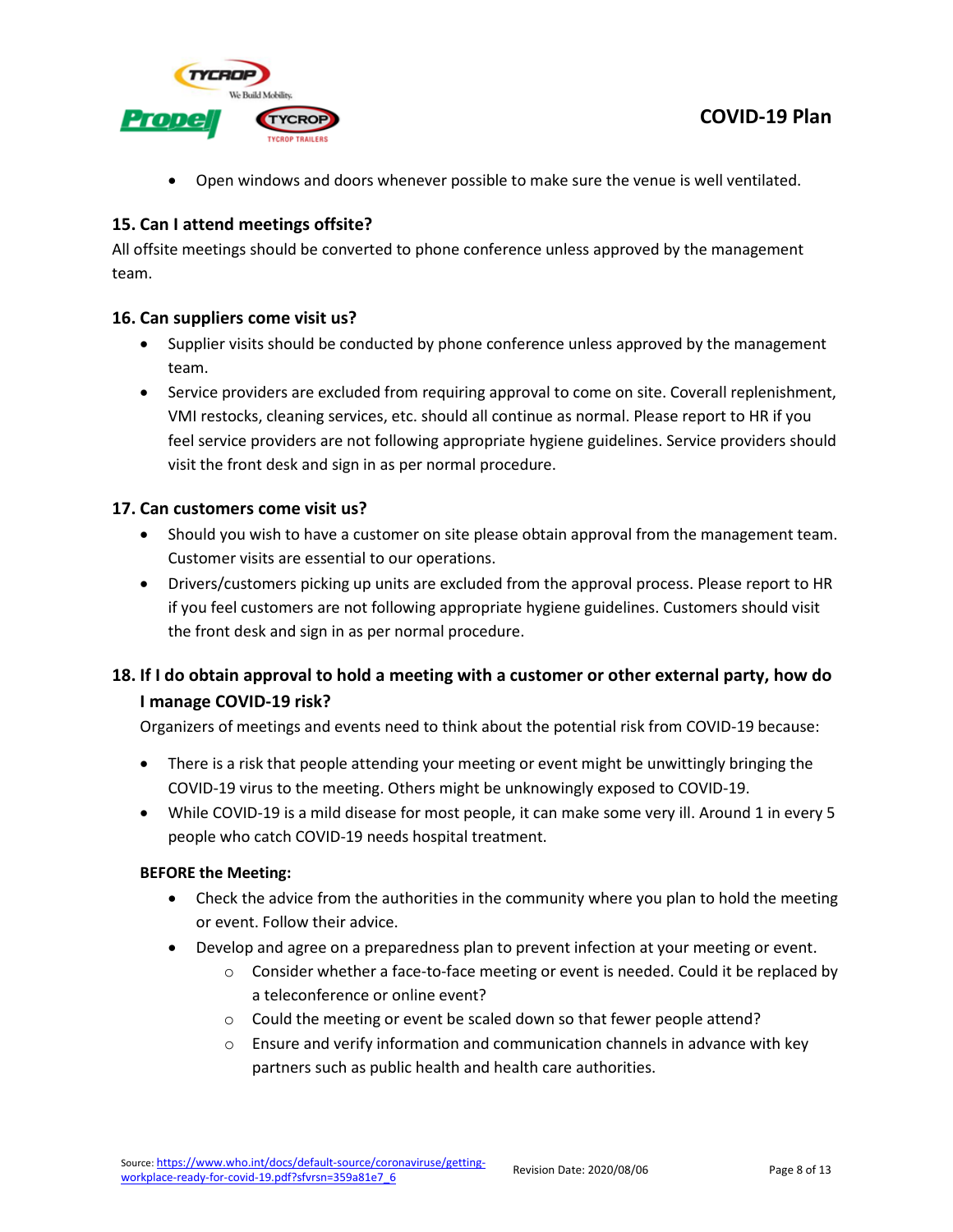

• Open windows and doors whenever possible to make sure the venue is well ventilated.

### <span id="page-7-0"></span>**15. Can I attend meetings offsite?**

All offsite meetings should be converted to phone conference unless approved by the management team.

#### <span id="page-7-1"></span>**16. Can suppliers come visit us?**

- Supplier visits should be conducted by phone conference unless approved by the management team.
- Service providers are excluded from requiring approval to come on site. Coverall replenishment, VMI restocks, cleaning services, etc. should all continue as normal. Please report to HR if you feel service providers are not following appropriate hygiene guidelines. Service providers should visit the front desk and sign in as per normal procedure.

### <span id="page-7-2"></span>**17. Can customers come visit us?**

- Should you wish to have a customer on site please obtain approval from the management team. Customer visits are essential to our operations.
- Drivers/customers picking up units are excluded from the approval process. Please report to HR if you feel customers are not following appropriate hygiene guidelines. Customers should visit the front desk and sign in as per normal procedure.

## <span id="page-7-3"></span>**18. If I do obtain approval to hold a meeting with a customer or other external party, how do I manage COVID-19 risk?**

Organizers of meetings and events need to think about the potential risk from COVID-19 because:

- There is a risk that people attending your meeting or event might be unwittingly bringing the COVID-19 virus to the meeting. Others might be unknowingly exposed to COVID-19.
- While COVID-19 is a mild disease for most people, it can make some very ill. Around 1 in every 5 people who catch COVID-19 needs hospital treatment.

#### **BEFORE the Meeting:**

- Check the advice from the authorities in the community where you plan to hold the meeting or event. Follow their advice.
- Develop and agree on a preparedness plan to prevent infection at your meeting or event.
	- $\circ$  Consider whether a face-to-face meeting or event is needed. Could it be replaced by a teleconference or online event?
	- o Could the meeting or event be scaled down so that fewer people attend?
	- $\circ$  Ensure and verify information and communication channels in advance with key partners such as public health and health care authorities.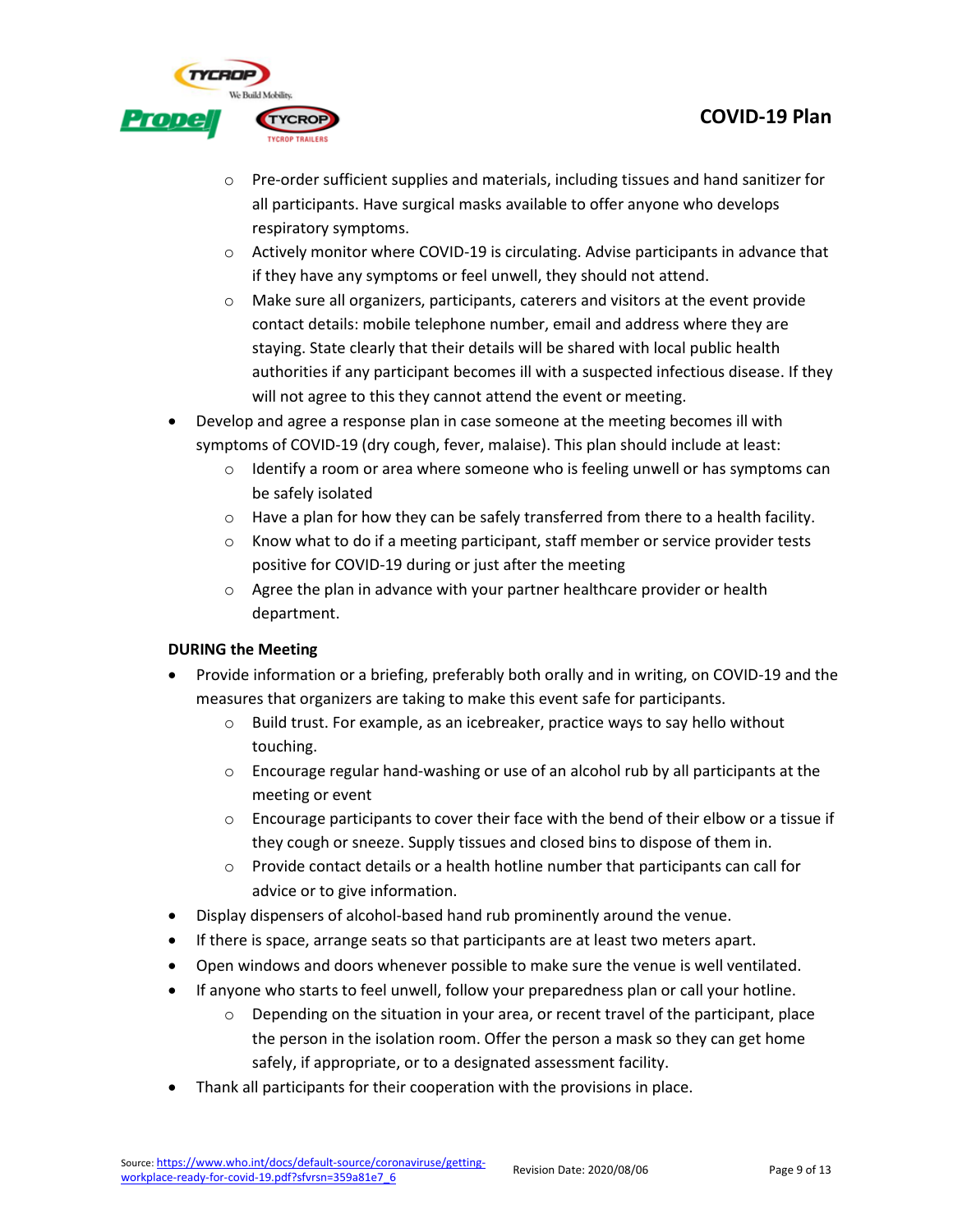

- o Pre-order sufficient supplies and materials, including tissues and hand sanitizer for all participants. Have surgical masks available to offer anyone who develops respiratory symptoms.
- $\circ$  Actively monitor where COVID-19 is circulating. Advise participants in advance that if they have any symptoms or feel unwell, they should not attend.
- o Make sure all organizers, participants, caterers and visitors at the event provide contact details: mobile telephone number, email and address where they are staying. State clearly that their details will be shared with local public health authorities if any participant becomes ill with a suspected infectious disease. If they will not agree to this they cannot attend the event or meeting.
- Develop and agree a response plan in case someone at the meeting becomes ill with symptoms of COVID-19 (dry cough, fever, malaise). This plan should include at least:
	- $\circ$  Identify a room or area where someone who is feeling unwell or has symptoms can be safely isolated
	- $\circ$  Have a plan for how they can be safely transferred from there to a health facility.
	- $\circ$  Know what to do if a meeting participant, staff member or service provider tests positive for COVID-19 during or just after the meeting
	- o Agree the plan in advance with your partner healthcare provider or health department.

## **DURING the Meeting**

- Provide information or a briefing, preferably both orally and in writing, on COVID-19 and the measures that organizers are taking to make this event safe for participants.
	- o Build trust. For example, as an icebreaker, practice ways to say hello without touching.
	- $\circ$  Encourage regular hand-washing or use of an alcohol rub by all participants at the meeting or event
	- $\circ$  Encourage participants to cover their face with the bend of their elbow or a tissue if they cough or sneeze. Supply tissues and closed bins to dispose of them in.
	- $\circ$  Provide contact details or a health hotline number that participants can call for advice or to give information.
- Display dispensers of alcohol-based hand rub prominently around the venue.
- If there is space, arrange seats so that participants are at least two meters apart.
- Open windows and doors whenever possible to make sure the venue is well ventilated.
- If anyone who starts to feel unwell, follow your preparedness plan or call your hotline.
	- $\circ$  Depending on the situation in your area, or recent travel of the participant, place the person in the isolation room. Offer the person a mask so they can get home safely, if appropriate, or to a designated assessment facility.
- Thank all participants for their cooperation with the provisions in place.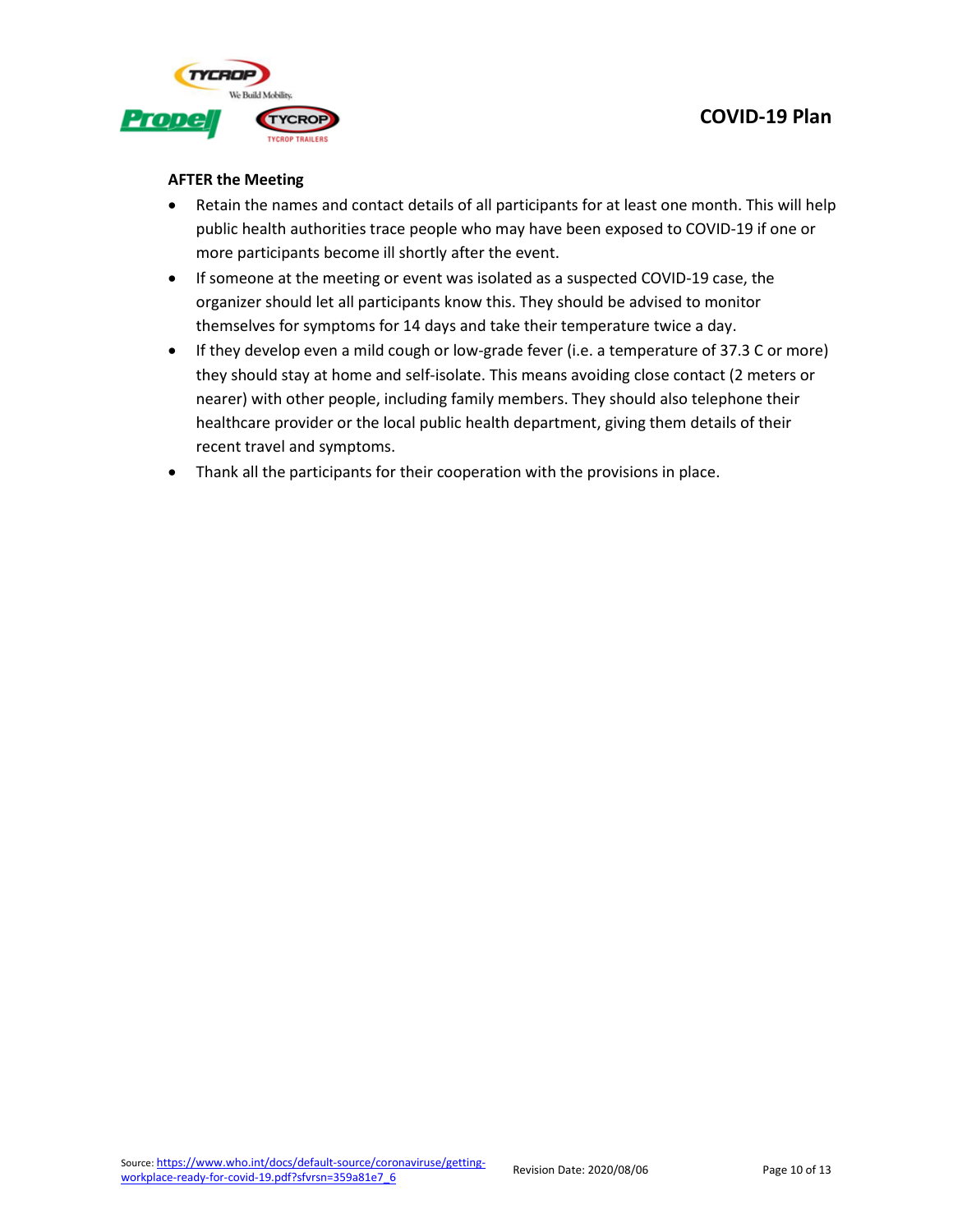



#### **AFTER the Meeting**

- Retain the names and contact details of all participants for at least one month. This will help public health authorities trace people who may have been exposed to COVID-19 if one or more participants become ill shortly after the event.
- If someone at the meeting or event was isolated as a suspected COVID-19 case, the organizer should let all participants know this. They should be advised to monitor themselves for symptoms for 14 days and take their temperature twice a day.
- If they develop even a mild cough or low-grade fever (i.e. a temperature of 37.3 C or more) they should stay at home and self-isolate. This means avoiding close contact (2 meters or nearer) with other people, including family members. They should also telephone their healthcare provider or the local public health department, giving them details of their recent travel and symptoms.
- Thank all the participants for their cooperation with the provisions in place.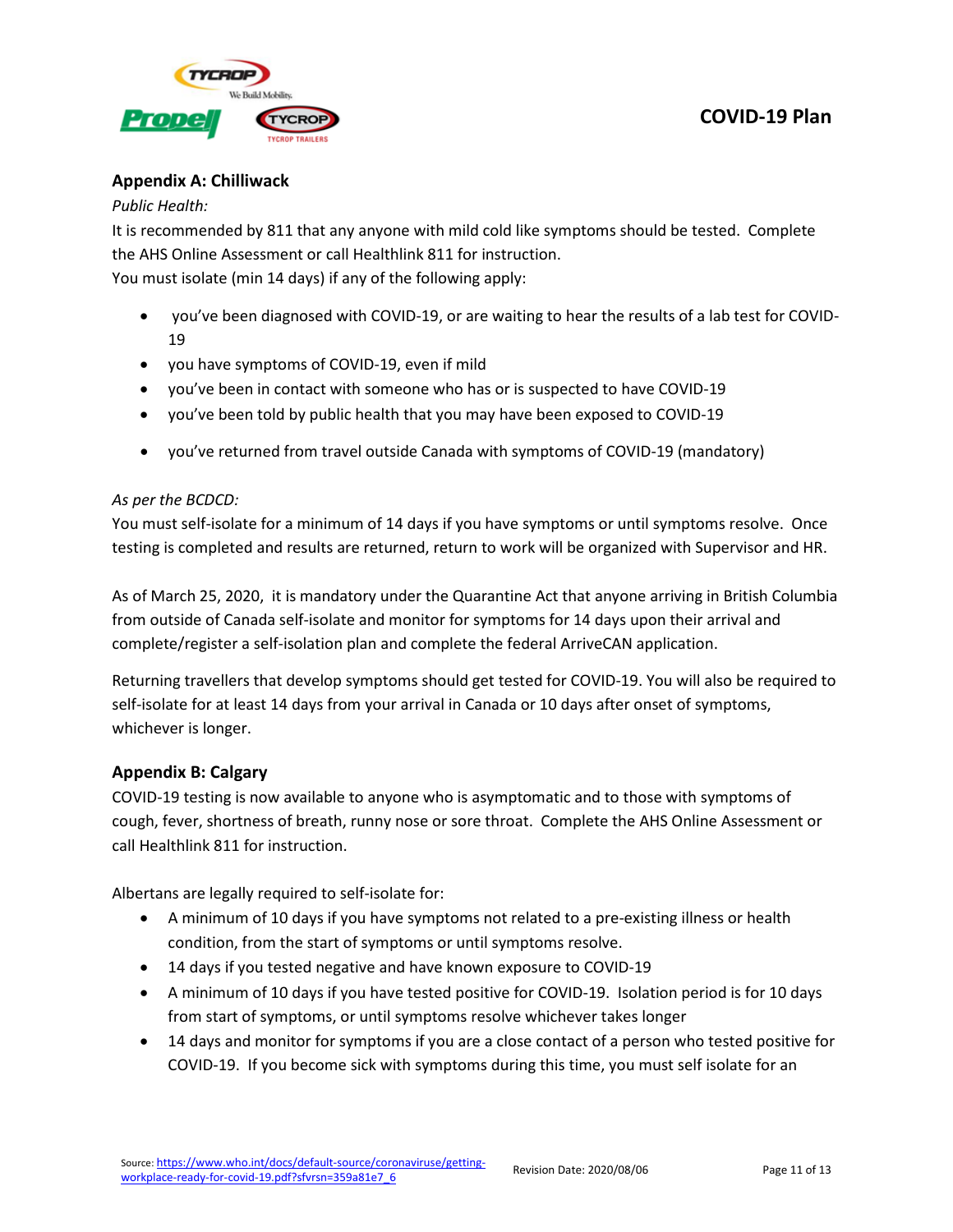

## <span id="page-10-0"></span>**Appendix A: Chilliwack**

#### *Public Health:*

It is recommended by 811 that any anyone with mild cold like symptoms should be tested. Complete the AHS Online Assessment or call Healthlink 811 for instruction. You must isolate (min 14 days) if any of the following apply:

- you've been diagnosed with COVID-19, or are waiting to hear the results of a lab test for COVID-19
- you have symptoms of COVID-19, even if mild
- you've been in contact with someone who has or is suspected to have COVID-19
- you've been told by public health that you may have been exposed to COVID-19
- you've returned from travel outside Canada with symptoms of COVID-19 (mandatory)

### *As per the BCDCD:*

You must self-isolate for a minimum of 14 days if you have symptoms or until symptoms resolve. Once testing is completed and results are returned, return to work will be organized with Supervisor and HR.

As of March 25, 2020, it is mandatory under the Quarantine Act that anyone arriving in British Columbia from outside of Canada self-isolate and monitor for symptoms for 14 days upon their arrival and complete/register a self-isolation plan and complete the federal ArriveCAN application.

Returning travellers that develop symptoms should get tested for COVID-19. You will also be required to self-isolate for at least 14 days from your arrival in Canada or 10 days after onset of symptoms, whichever is longer.

## <span id="page-10-1"></span>**Appendix B: Calgary**

COVID-19 testing is now available to anyone who is asymptomatic and to those with symptoms of cough, fever, shortness of breath, runny nose or sore throat. Complete the AHS Online Assessment or call Healthlink 811 for instruction.

Albertans are legally required to self-isolate for:

- A minimum of 10 days if you have symptoms not related to a pre-existing illness or health condition, from the start of symptoms or until symptoms resolve.
- 14 days if you tested negative and have known exposure to COVID-19
- A minimum of 10 days if you have tested positive for COVID-19. Isolation period is for 10 days from start of symptoms, or until symptoms resolve whichever takes longer
- 14 days and monitor for symptoms if you are a close contact of a person who tested positive for COVID-19. If you become sick with symptoms during this time, you must self isolate for an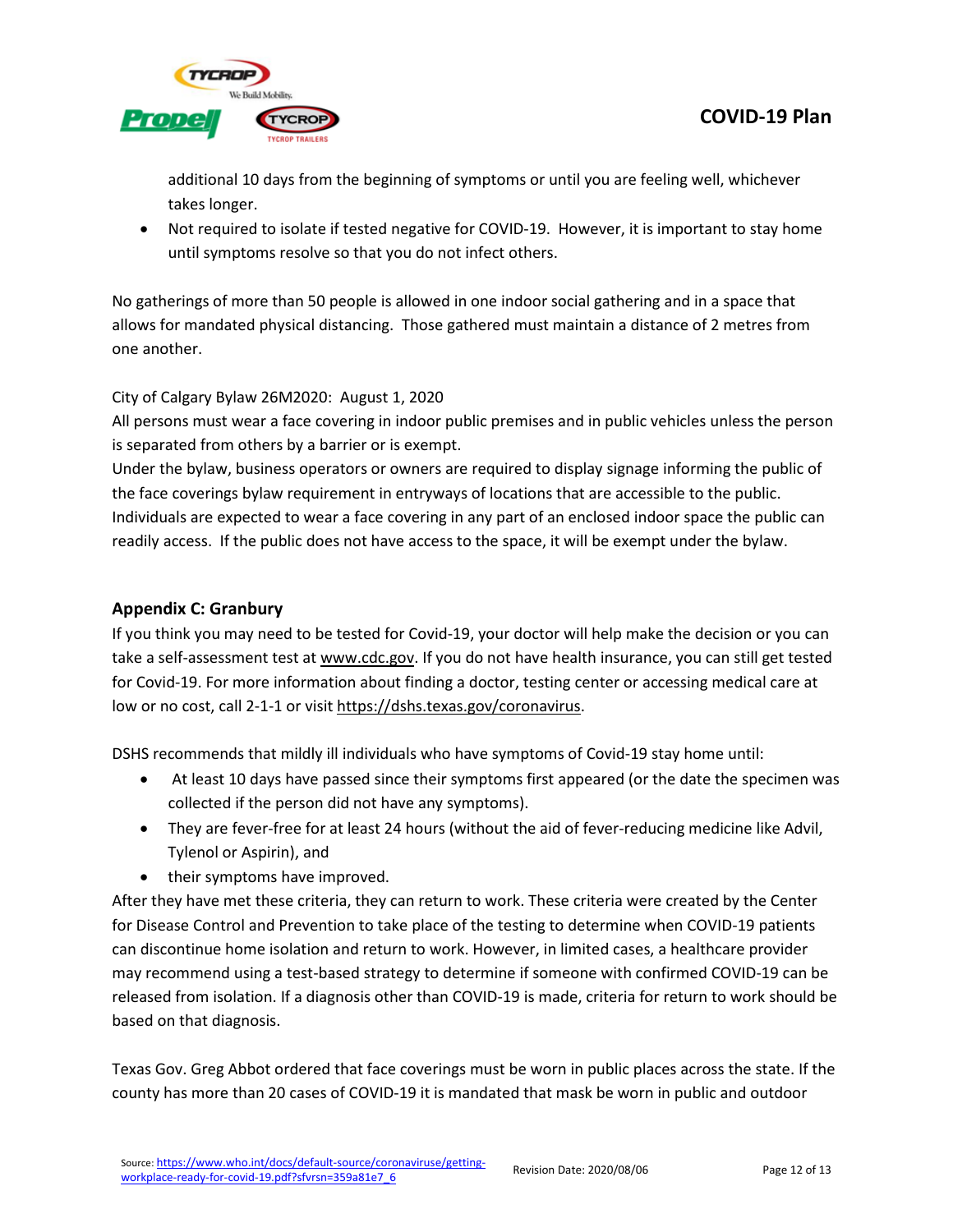

additional 10 days from the beginning of symptoms or until you are feeling well, whichever takes longer.

• Not required to isolate if tested negative for COVID-19. However, it is important to stay home until symptoms resolve so that you do not infect others.

No gatherings of more than 50 people is allowed in one indoor social gathering and in a space that allows for mandated physical distancing. Those gathered must maintain a distance of 2 metres from one another.

## City of Calgary Bylaw 26M2020: August 1, 2020

All persons must wear a face covering in indoor public premises and in public vehicles unless the person is separated from others by a barrier or is exempt.

Under the bylaw, business operators or owners are required to display signage informing the public of the face coverings bylaw requirement in entryways of locations that are accessible to the public. Individuals are expected to wear a face covering in any part of an enclosed indoor space the public can readily access. If the public does not have access to the space, it will be exempt under the bylaw.

## <span id="page-11-0"></span>**Appendix C: Granbury**

If you think you may need to be tested for Covid-19, your doctor will help make the decision or you can take a self-assessment test at [www.cdc.gov.](http://www.cdc.gov/) If you do not have health insurance, you can still get tested for Covid-19. For more information about finding a doctor, testing center or accessing medical care at low or no cost, call 2-1-1 or visi[t https://dshs.texas.gov/coronavirus.](https://dshs.texas.gov/coronavirus)

DSHS recommends that mildly ill individuals who have symptoms of Covid-19 stay home until:

- At least 10 days have passed since their symptoms first appeared (or the date the specimen was collected if the person did not have any symptoms).
- They are fever-free for at least 24 hours (without the aid of fever-reducing medicine like Advil, Tylenol or Aspirin), and
- their symptoms have improved.

After they have met these criteria, they can return to work. These criteria were created by the Center for Disease Control and Prevention to take place of the testing to determine when COVID-19 patients can discontinue home isolation and return to work. However, in limited cases, a healthcare provider may recommend using a test-based strategy to determine if someone with confirmed COVID-19 can be released from isolation. If a diagnosis other than COVID-19 is made, criteria for return to work should be based on that diagnosis.

Texas Gov. Greg Abbot ordered that face coverings must be worn in public places across the state. If the county has more than 20 cases of COVID-19 it is mandated that mask be worn in public and outdoor